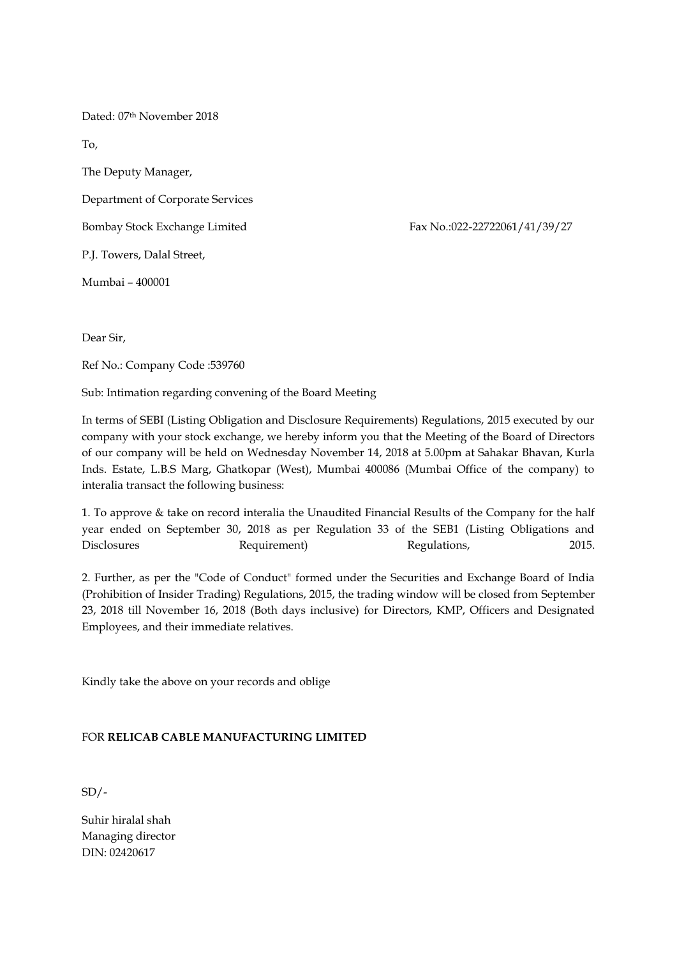Dated: 07th November 2018

To,

The Deputy Manager,

Department of Corporate Services

Bombay Stock Exchange Limited Fax No.:022-22722061/41/39/27

P.J. Towers, Dalal Street,

Mumbai – 400001

Dear Sir,

Ref No.: Company Code :539760

Sub: Intimation regarding convening of the Board Meeting

In terms of SEBI (Listing Obligation and Disclosure Requirements) Regulations, 2015 executed by our company with your stock exchange, we hereby inform you that the Meeting of the Board of Directors of our company will be held on Wednesday November 14, 2018 at 5.00pm at Sahakar Bhavan, Kurla Inds. Estate, L.B.S Marg, Ghatkopar (West), Mumbai 400086 (Mumbai Office of the company) to interalia transact the following business:

1. To approve & take on record interalia the Unaudited Financial Results of the Company for the half year ended on September 30, 2018 as per Regulation 33 of the SEB1 (Listing Obligations and Disclosures Requirement) Regulations, 2015.

2. Further, as per the "Code of Conduct" formed under the Securities and Exchange Board of India (Prohibition of Insider Trading) Regulations, 2015, the trading window will be closed from September 23, 2018 till November 16, 2018 (Both days inclusive) for Directors, KMP, Officers and Designated Employees, and their immediate relatives.

Kindly take the above on your records and oblige

## FOR **RELICAB CABLE MANUFACTURING LIMITED**

 $SD/-$ 

Suhir hiralal shah Managing director DIN: 02420617